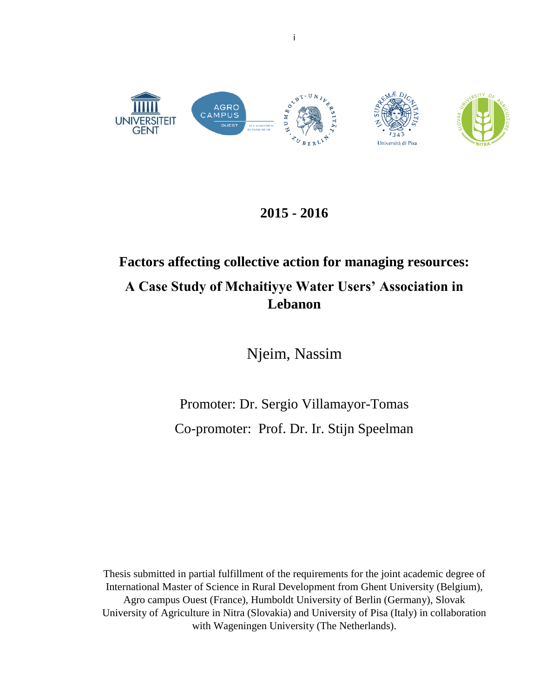

## **2015 - 2016**

# **Factors affecting collective action for managing resources: A Case Study of Mchaitiyye Water Users' Association in Lebanon**

Njeim, Nassim

Promoter: Dr. Sergio Villamayor-Tomas Co-promoter: Prof. Dr. Ir. Stijn Speelman

Thesis submitted in partial fulfillment of the requirements for the joint academic degree of International Master of Science in Rural Development from Ghent University (Belgium), Agro campus Ouest (France), Humboldt University of Berlin (Germany), Slovak University of Agriculture in Nitra (Slovakia) and University of Pisa (Italy) in collaboration with Wageningen University (The Netherlands).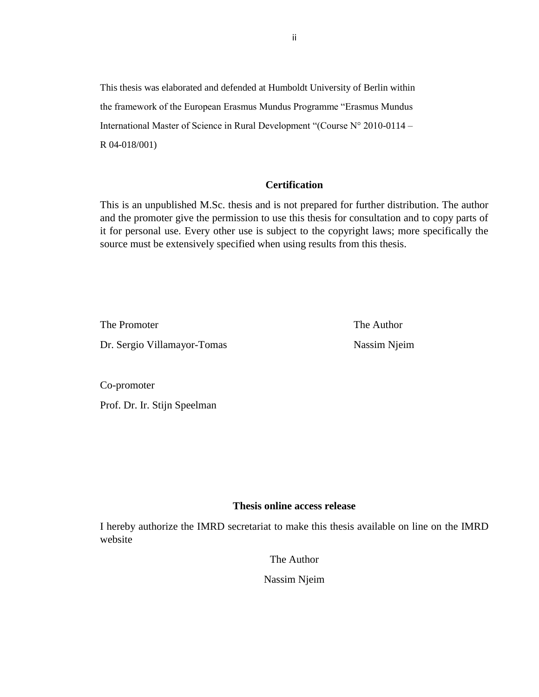This thesis was elaborated and defended at Humboldt University of Berlin within the framework of the European Erasmus Mundus Programme "Erasmus Mundus International Master of Science in Rural Development "(Course N° 2010-0114 – R 04-018/001)

## **Certification**

This is an unpublished M.Sc. thesis and is not prepared for further distribution. The author and the promoter give the permission to use this thesis for consultation and to copy parts of it for personal use. Every other use is subject to the copyright laws; more specifically the source must be extensively specified when using results from this thesis.

The Promoter The Author Dr. Sergio Villamayor-Tomas Nassim Njeim

Co-promoter

Prof. Dr. Ir. Stijn Speelman

## **Thesis online access release**

I hereby authorize the IMRD secretariat to make this thesis available on line on the IMRD website

The Author

Nassim Njeim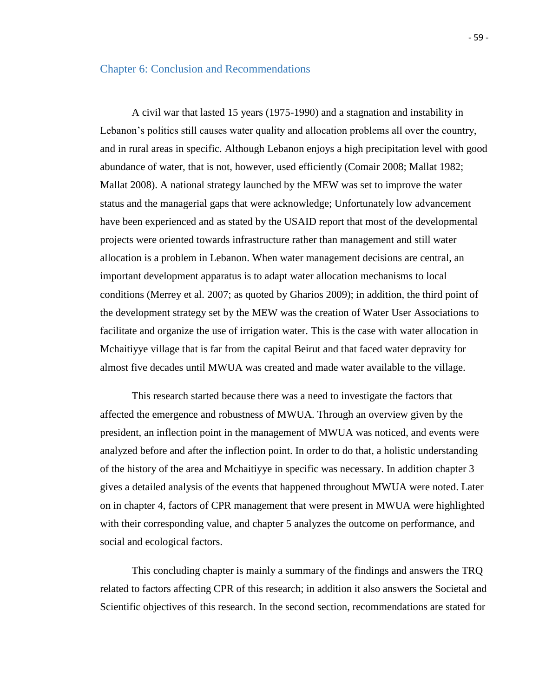#### Chapter 6: Conclusion and Recommendations

A civil war that lasted 15 years (1975-1990) and a stagnation and instability in Lebanon's politics still causes water quality and allocation problems all over the country, and in rural areas in specific. Although Lebanon enjoys a high precipitation level with good abundance of water, that is not, however, used efficiently (Comair 2008; Mallat 1982; Mallat 2008). A national strategy launched by the MEW was set to improve the water status and the managerial gaps that were acknowledge; Unfortunately low advancement have been experienced and as stated by the USAID report that most of the developmental projects were oriented towards infrastructure rather than management and still water allocation is a problem in Lebanon. When water management decisions are central, an important development apparatus is to adapt water allocation mechanisms to local conditions (Merrey et al. 2007; as quoted by Gharios 2009); in addition, the third point of the development strategy set by the MEW was the creation of Water User Associations to facilitate and organize the use of irrigation water. This is the case with water allocation in Mchaitiyye village that is far from the capital Beirut and that faced water depravity for almost five decades until MWUA was created and made water available to the village.

This research started because there was a need to investigate the factors that affected the emergence and robustness of MWUA. Through an overview given by the president, an inflection point in the management of MWUA was noticed, and events were analyzed before and after the inflection point. In order to do that, a holistic understanding of the history of the area and Mchaitiyye in specific was necessary. In addition chapter 3 gives a detailed analysis of the events that happened throughout MWUA were noted. Later on in chapter 4, factors of CPR management that were present in MWUA were highlighted with their corresponding value, and chapter 5 analyzes the outcome on performance, and social and ecological factors.

This concluding chapter is mainly a summary of the findings and answers the TRQ related to factors affecting CPR of this research; in addition it also answers the Societal and Scientific objectives of this research. In the second section, recommendations are stated for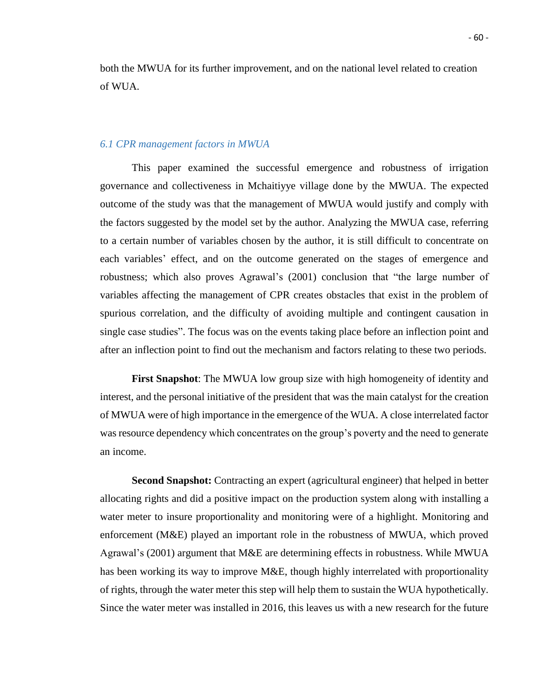both the MWUA for its further improvement, and on the national level related to creation of WUA.

#### *6.1 CPR management factors in MWUA*

This paper examined the successful emergence and robustness of irrigation governance and collectiveness in Mchaitiyye village done by the MWUA. The expected outcome of the study was that the management of MWUA would justify and comply with the factors suggested by the model set by the author. Analyzing the MWUA case, referring to a certain number of variables chosen by the author, it is still difficult to concentrate on each variables' effect, and on the outcome generated on the stages of emergence and robustness; which also proves Agrawal's (2001) conclusion that "the large number of variables affecting the management of CPR creates obstacles that exist in the problem of spurious correlation, and the difficulty of avoiding multiple and contingent causation in single case studies". The focus was on the events taking place before an inflection point and after an inflection point to find out the mechanism and factors relating to these two periods.

**First Snapshot**: The MWUA low group size with high homogeneity of identity and interest, and the personal initiative of the president that was the main catalyst for the creation of MWUA were of high importance in the emergence of the WUA. A close interrelated factor was resource dependency which concentrates on the group's poverty and the need to generate an income.

**Second Snapshot:** Contracting an expert (agricultural engineer) that helped in better allocating rights and did a positive impact on the production system along with installing a water meter to insure proportionality and monitoring were of a highlight. Monitoring and enforcement (M&E) played an important role in the robustness of MWUA, which proved Agrawal's (2001) argument that M&E are determining effects in robustness. While MWUA has been working its way to improve M&E, though highly interrelated with proportionality of rights, through the water meter this step will help them to sustain the WUA hypothetically. Since the water meter was installed in 2016, this leaves us with a new research for the future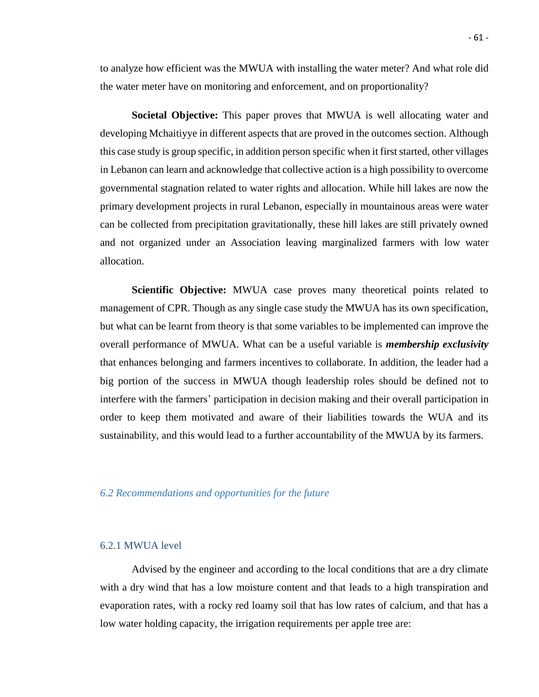to analyze how efficient was the MWUA with installing the water meter? And what role did the water meter have on monitoring and enforcement, and on proportionality?

**Societal Objective:** This paper proves that MWUA is well allocating water and developing Mchaitiyye in different aspects that are proved in the outcomes section. Although this case study is group specific, in addition person specific when it first started, other villages in Lebanon can learn and acknowledge that collective action is a high possibility to overcome governmental stagnation related to water rights and allocation. While hill lakes are now the primary development projects in rural Lebanon, especially in mountainous areas were water can be collected from precipitation gravitationally, these hill lakes are still privately owned and not organized under an Association leaving marginalized farmers with low water allocation.

**Scientific Objective:** MWUA case proves many theoretical points related to management of CPR. Though as any single case study the MWUA has its own specification, but what can be learnt from theory is that some variables to be implemented can improve the overall performance of MWUA. What can be a useful variable is *membership exclusivity* that enhances belonging and farmers incentives to collaborate. In addition, the leader had a big portion of the success in MWUA though leadership roles should be defined not to interfere with the farmers' participation in decision making and their overall participation in order to keep them motivated and aware of their liabilities towards the WUA and its sustainability, and this would lead to a further accountability of the MWUA by its farmers.

## *6.2 Recommendations and opportunities for the future*

#### 6.2.1 MWUA level

Advised by the engineer and according to the local conditions that are a dry climate with a dry wind that has a low moisture content and that leads to a high transpiration and evaporation rates, with a rocky red loamy soil that has low rates of calcium, and that has a low water holding capacity, the irrigation requirements per apple tree are: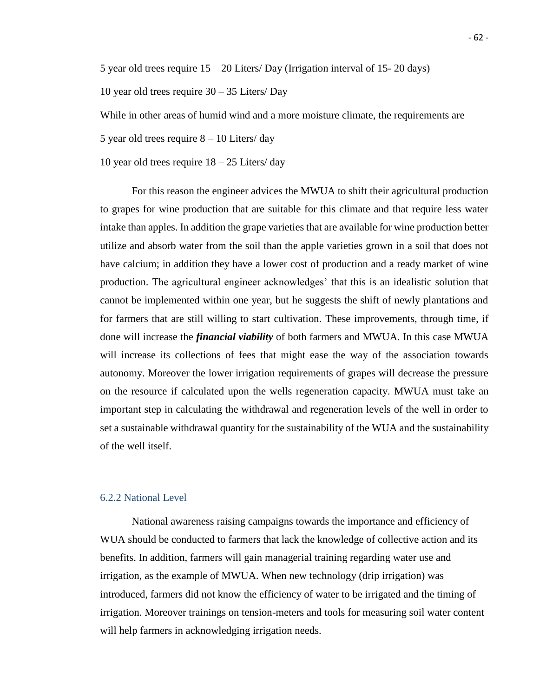5 year old trees require 15 – 20 Liters/ Day (Irrigation interval of 15- 20 days)

10 year old trees require 30 – 35 Liters/ Day

While in other areas of humid wind and a more moisture climate, the requirements are

5 year old trees require  $8 - 10$  Liters/day

10 year old trees require  $18 - 25$  Liters/day

For this reason the engineer advices the MWUA to shift their agricultural production to grapes for wine production that are suitable for this climate and that require less water intake than apples. In addition the grape varieties that are available for wine production better utilize and absorb water from the soil than the apple varieties grown in a soil that does not have calcium; in addition they have a lower cost of production and a ready market of wine production. The agricultural engineer acknowledges' that this is an idealistic solution that cannot be implemented within one year, but he suggests the shift of newly plantations and for farmers that are still willing to start cultivation. These improvements, through time, if done will increase the *financial viability* of both farmers and MWUA. In this case MWUA will increase its collections of fees that might ease the way of the association towards autonomy. Moreover the lower irrigation requirements of grapes will decrease the pressure on the resource if calculated upon the wells regeneration capacity. MWUA must take an important step in calculating the withdrawal and regeneration levels of the well in order to set a sustainable withdrawal quantity for the sustainability of the WUA and the sustainability of the well itself.

#### 6.2.2 National Level

National awareness raising campaigns towards the importance and efficiency of WUA should be conducted to farmers that lack the knowledge of collective action and its benefits. In addition, farmers will gain managerial training regarding water use and irrigation, as the example of MWUA. When new technology (drip irrigation) was introduced, farmers did not know the efficiency of water to be irrigated and the timing of irrigation. Moreover trainings on tension-meters and tools for measuring soil water content will help farmers in acknowledging irrigation needs.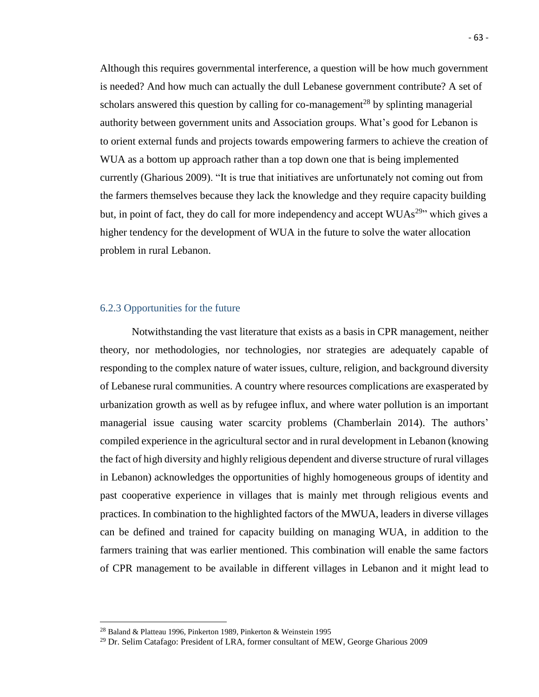Although this requires governmental interference, a question will be how much government is needed? And how much can actually the dull Lebanese government contribute? A set of scholars answered this question by calling for co-management<sup>28</sup> by splinting managerial authority between government units and Association groups. What's good for Lebanon is to orient external funds and projects towards empowering farmers to achieve the creation of WUA as a bottom up approach rather than a top down one that is being implemented currently (Gharious 2009). "It is true that initiatives are unfortunately not coming out from the farmers themselves because they lack the knowledge and they require capacity building but, in point of fact, they do call for more independency and accept WUAs<sup>29</sup>" which gives a higher tendency for the development of WUA in the future to solve the water allocation problem in rural Lebanon.

#### 6.2.3 Opportunities for the future

Notwithstanding the vast literature that exists as a basis in CPR management, neither theory, nor methodologies, nor technologies, nor strategies are adequately capable of responding to the complex nature of water issues, culture, religion, and background diversity of Lebanese rural communities. A country where resources complications are exasperated by urbanization growth as well as by refugee influx, and where water pollution is an important managerial issue causing water scarcity problems (Chamberlain 2014). The authors' compiled experience in the agricultural sector and in rural development in Lebanon (knowing the fact of high diversity and highly religious dependent and diverse structure of rural villages in Lebanon) acknowledges the opportunities of highly homogeneous groups of identity and past cooperative experience in villages that is mainly met through religious events and practices. In combination to the highlighted factors of the MWUA, leaders in diverse villages can be defined and trained for capacity building on managing WUA, in addition to the farmers training that was earlier mentioned. This combination will enable the same factors of CPR management to be available in different villages in Lebanon and it might lead to

 $\ddot{\phantom{a}}$ 

<sup>28</sup> Baland & Platteau 1996, Pinkerton 1989, Pinkerton & Weinstein 1995

<sup>&</sup>lt;sup>29</sup> Dr. Selim Catafago: President of LRA, former consultant of MEW, George Gharious 2009